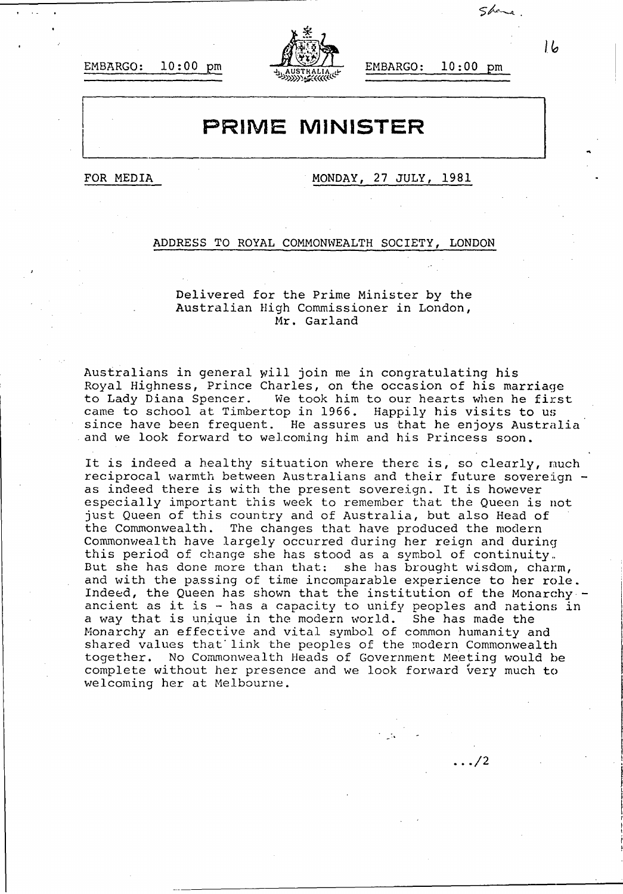EMBARGO: **10:00** pm EMBARGO: **10:00** pm



## **PRIME MINISTER**

FOR MEDIA **MONDAY, 27 JULY, 1981** 

## **ADDRESS** TO ROYAL COMMONWEALTH SOCIETY, **LONDON**

Delivered for the Prime Minister **by** the Australian High Commissioner in London, Mr. Garland

Australians in general Will join me in congratulating his Royal Highness, Prince Charles, on the occasion of his marriage to Lady Diana Spencer. We took him to our hearts when he first came to school at Timbertop in **1966.** Happily his visits to us since have been frequent. He assures us that he enjoys Australia and we look forward to welcoming him and his Princess soon.

It is indeed a healthy situation where there is, so clearly, much reciprocal warmth between Australians and their future sovereign  $$ as indeed there is with the present sovereign. It is however especially important this week to remember that the Queen is not just Queen of this country and of Australia, but also Head of the Commonwealth. The changes that have produced the modern Commonwealth have largely occurred during her reign and during this period of change she has stood as a symbol of continuity.. But she has done more than that: she has brought wisdom, charm, and with the passing of time incomparable experience to her role. Indeed, the Queen has shown that the institution of the Monarchy. ancient as it is - has a capacity to unify peoples and nations in a way that is unique in the modern world. She has made the Monarchy an effective and vital symbol of common humanity and shared values that link the peoples of the modern Commonwealth together. No Commonwealth Heads of Government Meeting would be complete without her presence and we look forward very much to welcoming her at Melbourne.

**/2**

 $16$ 

 $5$ *be*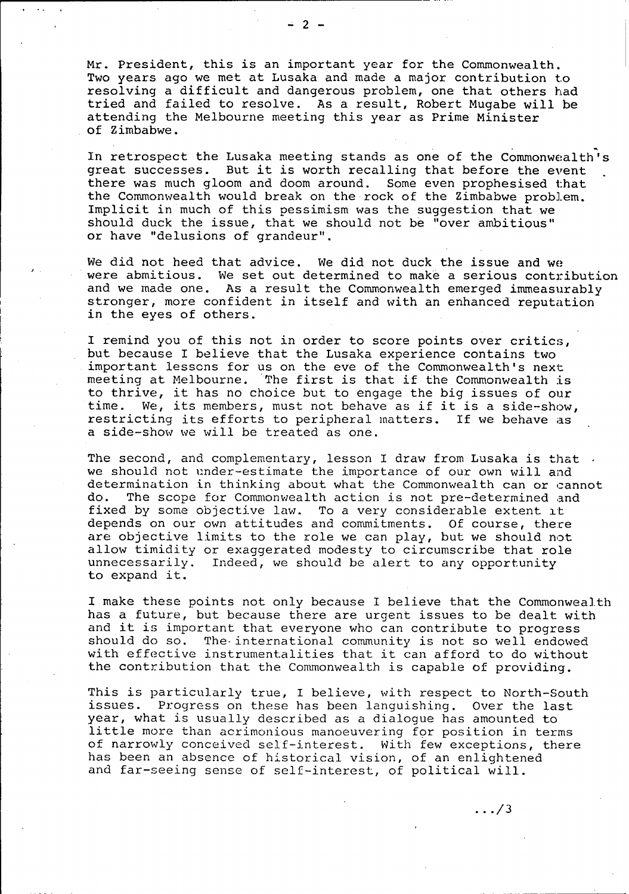Mr. President, this is an important year for the Commonwealth. Two years ago we met at Lusaka and made a major contribution to resolving a difficult and dangerous problem, one that others had tried and failed to resolve. As a result, Robert Mugabe will be attending the Melbourne meeting this year as Prime Minister of Zimbabwe.

In retrospect the Lusaka meeting stands as one of the Commonwealth's great successes. But it is worth recalling that before the event there was much gloom and doom around. Some even prophesised that the Commonwealth would break on the-rock of the Zimbabwe problem. Implicit in much of this pessimism was the suggestion that we should duck the issue, that we should not be "over ambitious" or have "delusions of grandeur"

We did not heed that advice. We did not duck the issue and we were abmitious. We set out determined to make a serious contribution and we made one. As a result the Commonwealth emerged immeasurably stronger, more confident in itself and with an enhanced reputation in the eyes of others.

I remind you of this not in order to score points over critics, but because I believe that the Lusaka experience contains two important lessons for us on the eve of the Commonwealth's next meeting at Melbourne. 'The first is that if the Commonwealth is to thrive, it has no choice but to engage the big issues of our time. We, its members, must not behave as if it is a side-show, restricting its efforts to peripheral matters. If we behave as a side-show we will be treated as one.

The second, and complementary, lesson I draw from Lusaka is that  $\cdot$ we should not under-estimate the importance of our own will and determination in thinking about what the Commonwealth can or cannot do. The scope for Commonwealth action is not pre-determined and fixed **by** some objective law. To a very considerable extent it depends on our own attitudes and commitments. **Of** course, there are objective limits to the role we can play, but we should not allow timidity or exaggerated modesty to circumscribe that role unnecessarily. Indeed, we should be alert to any opportunity to expand it.

I make these points not only because I believe that the Commonweal.th has a future, but because there are urgent issues to be dealt with and it is important that everyone who can contribute to progress should do so. The- international community is not so well endowed with effective instrumentalities that it can afford to do without the contribution that the Commonwealth is capable of providing.

This is particularly true, I believe, with respect to North-South issues. Progress on these has been languishing. over the last year, what is usually described as a dialogue has amounted to little more than acrimonious manoeuvering for position in terms of narrowly conceived self-interest. With few exceptions, there has been an absence of historical vision, of an enlightened and far-seeing sense of self-interest, of political will.

**2-**

 $\ldots/3$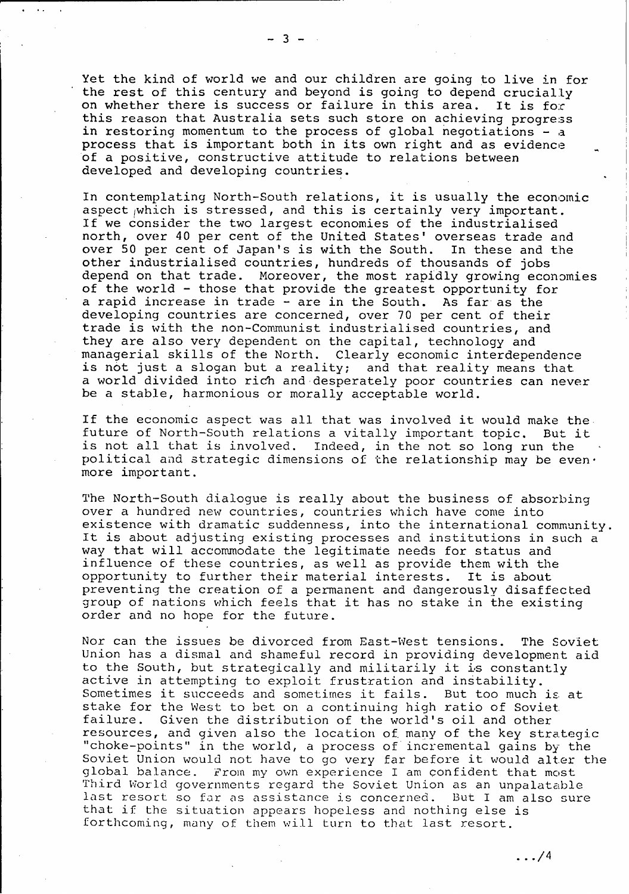Yet the kind of world we and our children are going to live in for the rest of this century and beyond is going to depend crucially on whether there is success or failure in this area. It is for this reason that Australia sets such store on achieving progress in restoring momentum to the process of global negotiations  $-$  a process that is important both in its own right and as evidence of a positive, constructive attitude to relations between developed and developing countries.

In contemplating North-South relations, it is usually the economic aspect which is stressed, and this is certainly very important. If we consider the two largest economies of the industrialised north, over 40 per cent of the United States' overseas trade and over 50 per cent of Japan's is with the South. In these and the other industrialised countries, hundreds of thousands of jobs depend on that trade. Moreover, the most rapidly growing economies of the world - those that provide the greatest opportunity for a rapid increase in trade - are in the South. As far as the developing countries are concerned, over **70** per cent of their trade is with the non-Communist industrialised countries, and they are also very dependent on the capital, technology and managerial skills of the North. Clearly economic interdependence is not just a slogan but a reality; and that reality means that a world divided into rich and-desperately poor countries can never be a stable, harmonious or morally acceptable world.

If the economic aspect was all that was involved it would make the future of North-South relations a vitally important topic. But it is not all that is involved. Indeed, in the not so long run the political and strategic dimensions of the relationship may be even $\cdot$ more important.

The North-South dialogue is really about the business of absorbing over a hundred new countries, countries which have come into existence with dramatic suddenness, into the international community. It is about adjusting existing processes and institutions in such a way that will accommodate the legitimate needs for status and influence of these countries, as well as provide them with the opportunity to further their material interests. It is about preventing the creation of a permanent and dangerously disaffected group of nations which feels that it has no stake in the existing order and no hope for the future.

Nor can the issues be divorced from East-West tensions. The Soviet Union has a dismal and shameful record in providing development aid to the South, but strategically and militarily it is constantly active in attempting to exploit frustration and instability. Sometimes it succeeds and sometimes it fails. But too much is at stake for the West to bet on a continuing high ratio of Soviet. failure. Given the distribution of the world's oil and other resources, and given also the location of. many of the key strategic "choke-points" in the world, a process of incremental gains by the Soviet Union would not have to go very far before it would alter the global balance. From my own experience I am confident that most Third World governments regard the Soviet Union as an unpalatable last resort so far as assistance is concerned. But I am also sure that if the situation appears hopeless and nothing else is forthcoming, many of them will turn to that last resort.

 $\ldots$ /4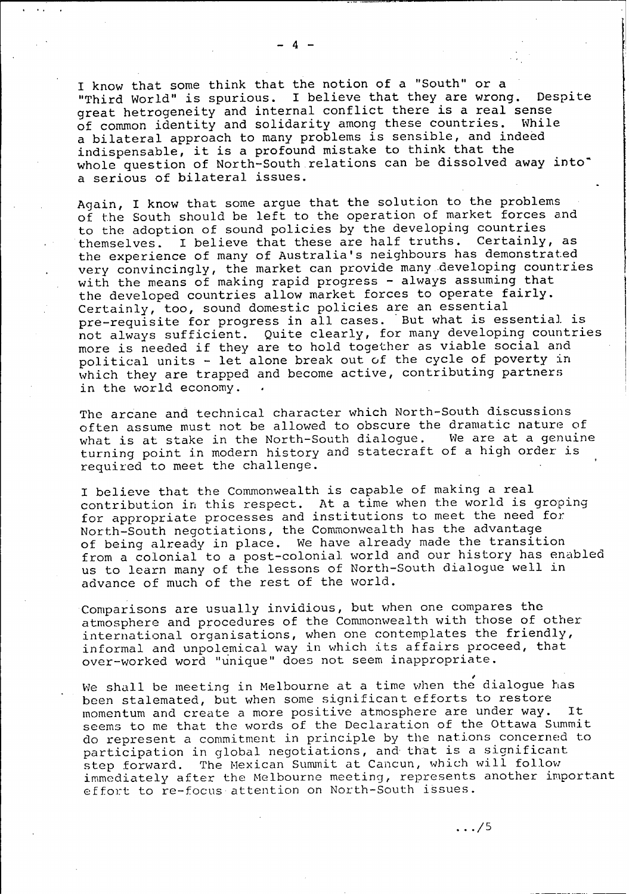I know that some think that the notion of a "South" or a<br>"Third World" is spurious. I believe that they are wrone I believe that they are wrong. Despite great hetrogeneity and internal conflict there is a real sense<br>of common identity and solidarity among these countries. While of common identity and solidarity among these countries. a bilateral approach to many problems is sensible, and indeed indispensable, it is a profound mistake to think that the whole question of North-South relations can be dissolved away into" a serious of bilateral issues.

Again, I know that some argue that the solution to the problems of the South should be left to the operation of market forces and to the adoption of sound policies **by** the developing countries themselves. I believe that these are half truths. Certainly, as the experience of many of Australia's neighbours has demonstrated very convincingly, the market can provide many developing countries with the means of making rapid progress - always assuming that the developed countries allow market forces to operate fairly. Certainly, too, sound domestic policies are an essential pre-requisite for progress in all cases. But what is essential. is not always sufficient. Quite clearly, for many developing countries more is needed if they are to hold together as viable social and political units - let alone break out of the cycle of poverty in which they are trapped and become active, contributing partners in the world economy.

The arcane and technical character which North-South discussions often assume must not be allowed to obscure the dramatic nature of what is at stake in the North-South dialogue. We are at a genuine turning point in modern history and statecraft of a high order is required to meet the challenge.

I believe that the Commonwealth is capable of making a real contribution in this respect. At a time when the world is groping for appropriate processes and institutions to meet the need for North-South negotiations, the Commonwealth has the advantage of being already in place. We have already made the transition from a colonial to a post-colonial. world and our history has enabled us to learn many of the lessons of North-South dialogue well in advance of much of the rest of the world.

Comparisons are usually invidious, but when one compares the atmosphere and procedures of the Commonwealth with those of otherinternational organisations, when one contemplates the friendly, informal and unpolemical way in which its affairs proceed, that over-worked word "unique" does not seem inappropriate.

We shall be meeting in Melbourne at a time when the dialogue has been stalemated, but when some significant efforts to restore momentum and create a more positive atmosphere are under way. It seems to me that the words of the Declaration of the Ottawa Summit do represent a commitment in principle by the nations concerned to participation in global negotiations, and-that is a significant step forward. The Mexican Summit at Cancun, which will follow immediately after the Melbourne meeting, represents another important effort to re-focus attention on North-South issues.

 $\ldots/5$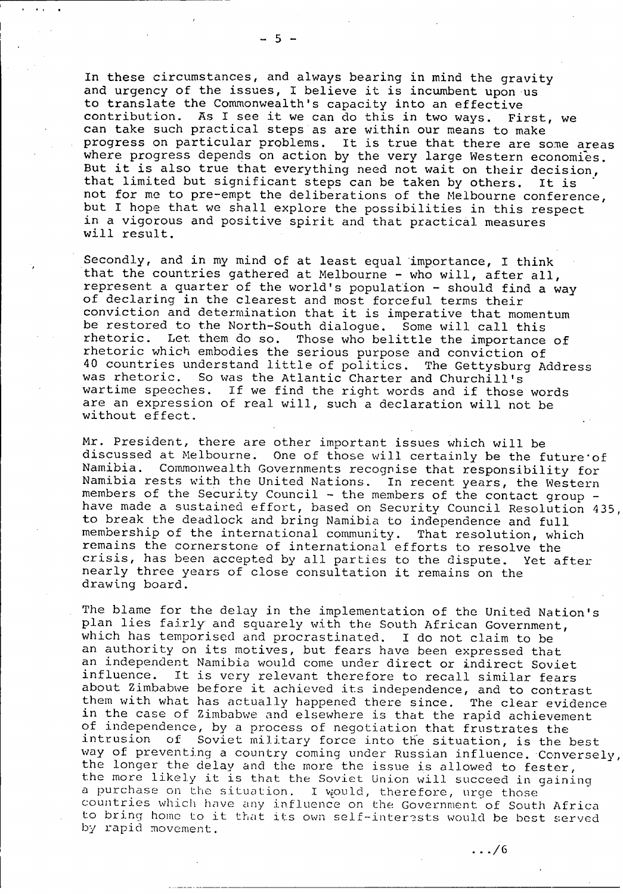In these circumstances, and always bearing in mind the gravity and urgency of the issues, I believe it is incumbent upon us to translate the Commonwealth's capacity into an effective contribution. As I see it we can do this in two ways. First, we can take such practical steps as are within our means to make progress on particular problems. It is true that there are some areas where progress depends on action by the very large Western economies. But it is also true that everything need not wait on their decision, that limited but significant steps can be taken **by** others. It **is"** not for me to pre-empt the deliberations of the Melbourne conference, but I hope that we shall explore the possibilities in this respect in a vigorous and positive spirit and that practical measures will result.

Secondly, and in my mind of at least equal'importance, I think that the countries gathered at Melbourne  $-$  who will, after all, represent a quarter of the world's population - should find a way of declaring in the clearest and most forceful terms their conviction and determination that it is imperative that momentum be restored to the North-South dialogue. Some will call this rhetoric. Let them do so. Those who belittle the importance of rhetoric which embodies the serious purpose and conviction of 40 countries understand little of politics. The Gettysburg Address was rhetoric. So was the Atlantic Charter and Churchill's wartime speeches. If we find the right words and if those words are an expression of real will, such a declaration will not be without effect.

Mr. President, there are other important issues which will be discussed at Melbourne. One of those will certainly be the future of Namibia. Commonwealth Governments recognise that responsibility for Commonwealth Governments recognise that responsibility for Namibia rests with the United Nations. In recent years, the Western members of the Security Council - the members of the contact group -<br>have made a sustained effort, based on Security Council Resolution 435, to break the deadlock and bring Namibia to independence and full membership of the international community. That resolution, which remains the cornerstone of international efforts to resolve the crisis, has been accepted **by** all parties to the dispute. Yet after nearly three years of close consultation it remains on the drawing board.

The blame for the delay in the implementation of the United Nation's plan lies fairly and squarely with the South African Government, which has temporised and procrastinated. I do not claim to be an authority on its motives, but fears have been expressed that an independent Namibia would come under direct or indirect Soviet<br>influence. It is very relevant therefore to recall similar fears It is very relevant therefore to recall similar fears about Zimbabwe before it achieved its independence, and to contrast them with what has actually happened there since. The clear evidence in the case of Zimbabwe and elsewhere is that the rapid achievement of independence, **by** a process of negotiation that frustrates the intrusion of Soviet military force into the situation, is the best way of preventing a country coming under Russian influence. Conversely,<br>the longer the delay and the more the issue is allowed to fester, the more likely it is that the Soviet Union will succeed in gaining a purchase on the situation. I would, therefore, urge those countries which have any influence on the Government of South Africa to bring home to it that its own self-interests would be best served **by** rapid movement.

**/6**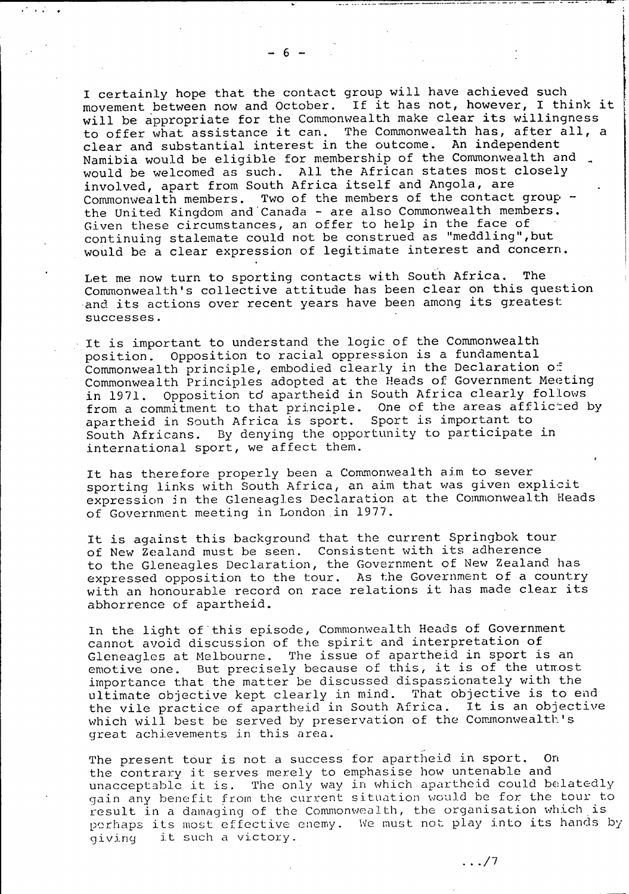**-6-**

I certainly hope that the contact group will have achieved such movement between now and October. If it has not, however, I think it will be appropriate for the Commonwealth make clear its willingness to offer what assistance it can. The Commonwealth has, after all, a clear and substantial interest in the outcome. An independent Namibia would be eligible for membership of the Commonwealth and would be welcomed as such. **All** the African states most closely involved, apart from South Africa itself and Angola, are Commonwealth members. Two of the members of the contact group the United Kingdom and Canada - are also Commonwealth members. Given these circumstances, an offer to help in the face of continuing stalemate could not be construed as "meddling",but would be a clear expression of legitimate interest and concern.

Let me now turn to sporting contacts with South Africa. The Commonwealth's collective attitude has been clear on this question and its actions over recent years have been among its greatest: successes.

It is important to understand the logic of the Commonwealth position. opposition to racial oppression is a fundamental Commonwealth principle, embodied clearly in the Declaration of' Commonwealth Principles adopted at the Heads of Government Meeting in 1971. Opposition to apartheid in South Africa clearly follows from a commitment to that principle. One of the areas afflicted **by** apartheid in South Africa is sport. Sport is important to South Africans. **By** denying the opportunity to participate in international sport, we affect them.

It has therefore properly been a Commonwealth aim to sever sporting links with South Africa, an aim that was given explicit expression in the Gleneagles Declaration at the Commonwealth Heads ,of Government meeting in London in **1977.**

It is against this background that the current Springbok tour of New Zealand must be seen. Consistent with its adherence to the Gleneagles Declaration, the Government of New Zealand has expressed opposition to the tour. As the Government of a country with an honourable record on race relations it has made clear its abhorrence of apartheid.

In the light of this episode, Commonwealth Heads of Government cannot avoid discussion of the spirit and interpretation of Gleneagles at Melbourne. The issue of apartheid in sport is an emotive one. But precisely because of this, it is of the utmost importance that the matter be discussed dispassionately with the ultimate objective kept clearly in mind. That objective is to end the vile practice of apartheid in South Africa. It is an objective which will best **be** served **by** preservation of the Comnonwealth's great achievements in this area.

The present tour is not a success for apartheid in sport. On the contrary it serves merely to emphasise how untenable and unacceptable it is. The only way in which apartheid could belatedly gain any benefit from the current situation would be for the tour to result in a damaging of the Commonwealth, the organisation which is perhaps its most effective enemy. We must not play into its hands by giving it such a victory.

**./7**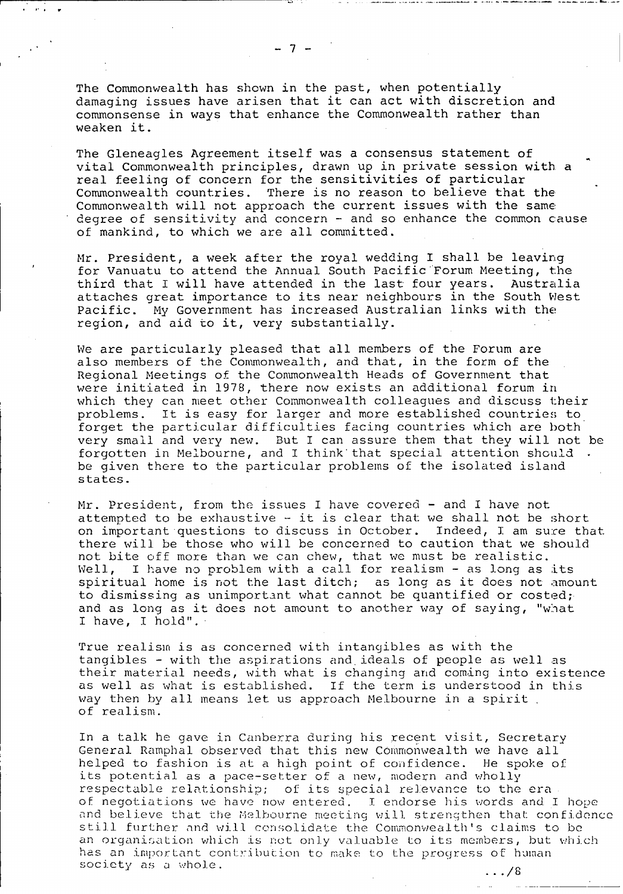The Commonwealth has shown in the past, when potentially damaging issues have arisen that it can act with discretion and commonsense in ways that enhance the Commonwealth rather than weaken it.

The Gleneagles Agreement itself was a consensus statement of vital Commonwealth principles, drawn up in private session with a real feeling of concern for the sensitivities of particular Commonwealth countries. There is no reason to believe that the Commonwealth will not approach the current issues with the same degree of sensitivity and concern  $-$  and so enhance the common cause of mankind, to which we are all committed.

Mr. President, a week after the royal wedding I shall be leaving for Vanuatu to attend the Annual South Pacific Forum Meeting, the third that I will have attended in the last four years. Australia attaches great importance to its near neighbours in the South West Pacific. My Government has increased Australian links with the region, and aid to it, very substantially.

We are particularly pleased that all members of the Forum are also members of the Commonwealth, and that, in the form of the Regional Meetings of the Commonwealth Heads of Government that were initiated in 1978, there now exists an additional forum in which they can meet other Commonwealth colleagues and discuss their problems. It is easy for larger and more established countries to forget the particular difficulties facing countries which are both very small and very new. But I can assure them that they will not be forgotten in Melbourne, and I think'that special attention should be given there to the particular problems of the isolated island states.

 $Mr.$  President, from the issues I have covered  $-$  and I have not attempted to be exhaustive  $-$  it is clear that we shall not be short on important questions to discuss in October. Indeed, I am sure that there will be those who will be concerned to caution that we should not bite off more than we can chew, that we must be realistic. Well, I have no problem with a call for realism  $-$  as long as its spiritual home is not the last ditch; as long as it does not amount to dismissing as unimportant what cannot be quantified or costed; and as long as it does not amount to another way of saying, "what I have, I hold".

True realism is as concerned with intangibles as with the tangibles - with the aspirations and ideals of people as well as their material needs, with what is changing and coming into existence as well as what is established. If the term is understood in this way then by all means let us approach Melbourne in a spirit of realism.

In a talk he gave in Canberra during his recent visit, Secretary General Ramphal observed that this new Commonwealth we have all helped to fashion is at a high point of confidence. He spoke of its potential as a pace-setter of a new, modern and wholly respectable relationship; of its special relevance to the era of negotiations we have now entered. **I** endorse his words and I hope and believe that the Melbourne meeting will strengthen that confidence still further and will consolidate the Commonwealth's claims to be an organisation which is not only valuable to its members, but which has an important contribution to make to the progress of human society as a whole.

 $\lambda$